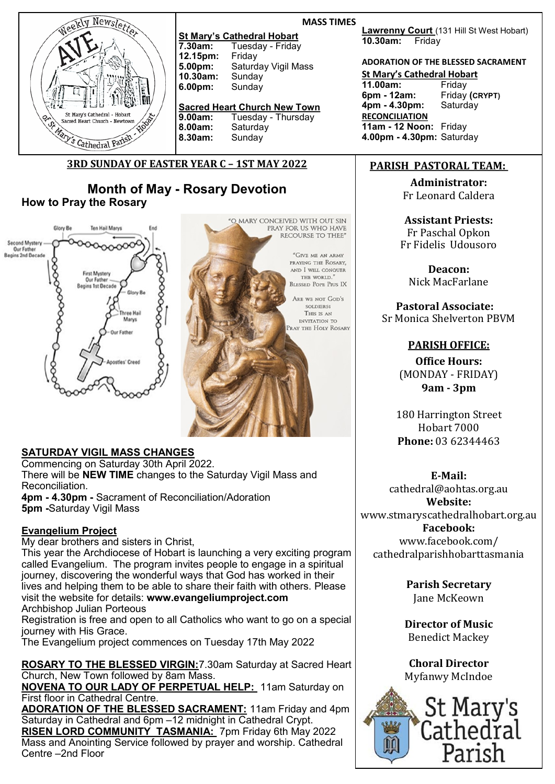

### **MASS TIMES**

**St Mary's Cathedral Hobart**<br>**7.30am:** Tuesday - Friday Tuesday - Friday<br>Friday **12.15pm:**<br>5.00pm: **Saturday Vigil Mass**<br>Sunday **10.30am:** Sunday 6.00pm:

## **Sacred Heart Church New Town**

**9.00am:** Tuesday - Thursday **8.00am:** Saturday **8.30am:** Sunday

# **3RD SUNDAY OF EASTER YEAR C – 1ST MAY 2022**

**Month of May - Rosary Devotion How to Pray the Rosary**



"O MARY CONCEIVED WITH OUT SIN PRAY FOR US WHO HAVE RECOURSE TO THEE" "GIVE ME AN ARMY PRAYING THE ROSARY. AND I WILL CONQUER THE WORLD." **BLESSED POPE Pros IX** ARE WE NOT GOD'S **SOLDIERS** THIS IS AN INVITATION TO RAY THE HOLY ROSARY

## **SATURDAY VIGIL MASS CHANGES**

Commencing on Saturday 30th April 2022. There will be **NEW TIME** changes to the Saturday Vigil Mass and Reconciliation. **4pm - 4.30pm -** Sacrament of Reconciliation/Adoration **5pm -**Saturday Vigil Mass

## **Evangelium Project**

My dear brothers and sisters in Christ,

This year the Archdiocese of Hobart is launching a very exciting program called Evangelium. The program invites people to engage in a spiritual journey, discovering the wonderful ways that God has worked in their lives and helping them to be able to share their faith with others. Please visit the website for details: **www.evangeliumproject.com** Archbishop Julian Porteous

Registration is free and open to all Catholics who want to go on a special journey with His Grace.

The Evangelium project commences on Tuesday 17th May 2022

**ROSARY TO THE BLESSED VIRGIN:**7.30am Saturday at Sacred Heart Church, New Town followed by 8am Mass.

**NOVENA TO OUR LADY OF PERPETUAL HELP:** 11am Saturday on First floor in Cathedral Centre.

**ADORATION OF THE BLESSED SACRAMENT:** 11am Friday and 4pm Saturday in Cathedral and 6pm –12 midnight in Cathedral Crypt.

**RISEN LORD COMMUNITY TASMANIA:** 7pm Friday 6th May 2022 Mass and Anointing Service followed by prayer and worship. Cathedral Centre –2nd Floor

**Lawrenny Court** (131 Hill St West Hobart) **10.30am:** Friday

## **ADORATION OF THE BLESSED SACRAMENT**

**St Mary's Cathedral Hobart**

**11.00am:** Friday **6pm - 12am:** Friday **(CRYPT) 4pm - 4.30pm: RECONCILIATION 11am - 12 Noon:** Friday **4.00pm - 4.30pm:** Saturday

# **PARISH PASTORAL TEAM:**

**Administrator:**  Fr Leonard Caldera

**Assistant Priests:** Fr Paschal Opkon Fr Fidelis Udousoro

**Deacon:** Nick MacFarlane

**Pastoral Associate:**  Sr Monica Shelverton PBVM

## **PARISH OFFICE:**

**Office Hours:**  (MONDAY - FRIDAY) **9am - 3pm** 

180 Harrington Street Hobart 7000 **Phone:** 03 62344463

**E-Mail:** 

cathedral@aohtas.org.au **Website:** www.stmaryscathedralhobart.org.au **Facebook:**

www.facebook.com/ cathedralparishhobarttasmania

> **Parish Secretary** Jane McKeown

**Director of Music** Benedict Mackey

**Choral Director** Myfanwy McIndoe